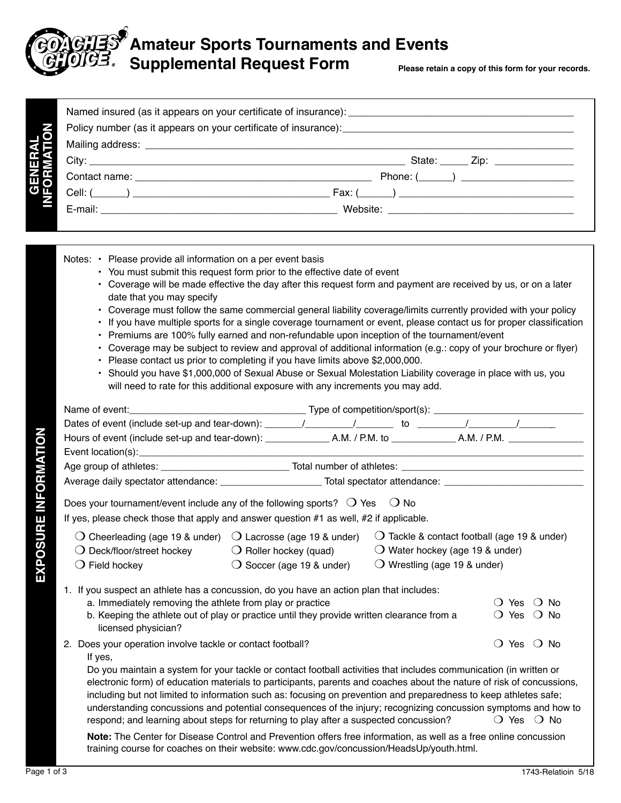

## **Amateur Sports Tournaments and Events**  Supplemental Request Form **Please retain a copy of this form for your records.**

|                       | State: ______ Zip: ________________ |
|-----------------------|-------------------------------------|
|                       | Phone: $(\_\_)$                     |
| GENERAL<br>VFORMATION |                                     |
|                       |                                     |

| Notes: • Please provide all information on a per event basis<br>• You must submit this request form prior to the effective date of event<br>• Coverage will be made effective the day after this request form and payment are received by us, or on a later<br>date that you may specify<br>Coverage must follow the same commercial general liability coverage/limits currently provided with your policy<br>If you have multiple sports for a single coverage tournament or event, please contact us for proper classification<br>• Premiums are 100% fully earned and non-refundable upon inception of the tournament/event<br>Coverage may be subject to review and approval of additional information (e.g.: copy of your brochure or flyer)<br>Please contact us prior to completing if you have limits above \$2,000,000.<br>· Should you have \$1,000,000 of Sexual Abuse or Sexual Molestation Liability coverage in place with us, you<br>will need to rate for this additional exposure with any increments you may add. |
|-------------------------------------------------------------------------------------------------------------------------------------------------------------------------------------------------------------------------------------------------------------------------------------------------------------------------------------------------------------------------------------------------------------------------------------------------------------------------------------------------------------------------------------------------------------------------------------------------------------------------------------------------------------------------------------------------------------------------------------------------------------------------------------------------------------------------------------------------------------------------------------------------------------------------------------------------------------------------------------------------------------------------------------|
|                                                                                                                                                                                                                                                                                                                                                                                                                                                                                                                                                                                                                                                                                                                                                                                                                                                                                                                                                                                                                                     |
|                                                                                                                                                                                                                                                                                                                                                                                                                                                                                                                                                                                                                                                                                                                                                                                                                                                                                                                                                                                                                                     |
|                                                                                                                                                                                                                                                                                                                                                                                                                                                                                                                                                                                                                                                                                                                                                                                                                                                                                                                                                                                                                                     |
|                                                                                                                                                                                                                                                                                                                                                                                                                                                                                                                                                                                                                                                                                                                                                                                                                                                                                                                                                                                                                                     |
|                                                                                                                                                                                                                                                                                                                                                                                                                                                                                                                                                                                                                                                                                                                                                                                                                                                                                                                                                                                                                                     |
|                                                                                                                                                                                                                                                                                                                                                                                                                                                                                                                                                                                                                                                                                                                                                                                                                                                                                                                                                                                                                                     |
| Does your tournament/event include any of the following sports? $\bigcirc$ Yes<br>○ No<br>If yes, please check those that apply and answer question #1 as well, #2 if applicable.                                                                                                                                                                                                                                                                                                                                                                                                                                                                                                                                                                                                                                                                                                                                                                                                                                                   |
| $\bigcirc$ Cheerleading (age 19 & under) $\bigcirc$ Lacrosse (age 19 & under)<br>$\bigcirc$ Tackle & contact football (age 19 & under)                                                                                                                                                                                                                                                                                                                                                                                                                                                                                                                                                                                                                                                                                                                                                                                                                                                                                              |
| $\bigcirc$ Water hockey (age 19 & under)<br>$\bigcirc$ Deck/floor/street hockey<br>$\bigcirc$ Roller hockey (quad)                                                                                                                                                                                                                                                                                                                                                                                                                                                                                                                                                                                                                                                                                                                                                                                                                                                                                                                  |
| $\bigcirc$ Soccer (age 19 & under)<br>$\bigcirc$ Wrestling (age 19 & under)<br>$\bigcirc$ Field hockey                                                                                                                                                                                                                                                                                                                                                                                                                                                                                                                                                                                                                                                                                                                                                                                                                                                                                                                              |
|                                                                                                                                                                                                                                                                                                                                                                                                                                                                                                                                                                                                                                                                                                                                                                                                                                                                                                                                                                                                                                     |
| 1. If you suspect an athlete has a concussion, do you have an action plan that includes:<br>a. Immediately removing the athlete from play or practice<br>$\bigcirc$ Yes $\bigcirc$ No                                                                                                                                                                                                                                                                                                                                                                                                                                                                                                                                                                                                                                                                                                                                                                                                                                               |
| b. Keeping the athlete out of play or practice until they provide written clearance from a<br>$\bigcirc$ Yes $\bigcirc$ No<br>licensed physician?                                                                                                                                                                                                                                                                                                                                                                                                                                                                                                                                                                                                                                                                                                                                                                                                                                                                                   |
| ○ Yes ○ No<br>2. Does your operation involve tackle or contact football?<br>If yes,                                                                                                                                                                                                                                                                                                                                                                                                                                                                                                                                                                                                                                                                                                                                                                                                                                                                                                                                                 |
| Do you maintain a system for your tackle or contact football activities that includes communication (in written or<br>electronic form) of education materials to participants, parents and coaches about the nature of risk of concussions,<br>including but not limited to information such as: focusing on prevention and preparedness to keep athletes safe;<br>understanding concussions and potential consequences of the injury; recognizing concussion symptoms and how to<br>$\bigcirc$ Yes $\bigcirc$ No<br>respond; and learning about steps for returning to play after a suspected concussion?                                                                                                                                                                                                                                                                                                                                                                                                                          |
| Note: The Center for Disease Control and Prevention offers free information, as well as a free online concussion<br>training course for coaches on their website: www.cdc.gov/concussion/HeadsUp/youth.html.                                                                                                                                                                                                                                                                                                                                                                                                                                                                                                                                                                                                                                                                                                                                                                                                                        |

**EXPOSURE INFORMATION**

EXPOSURE INFORMATION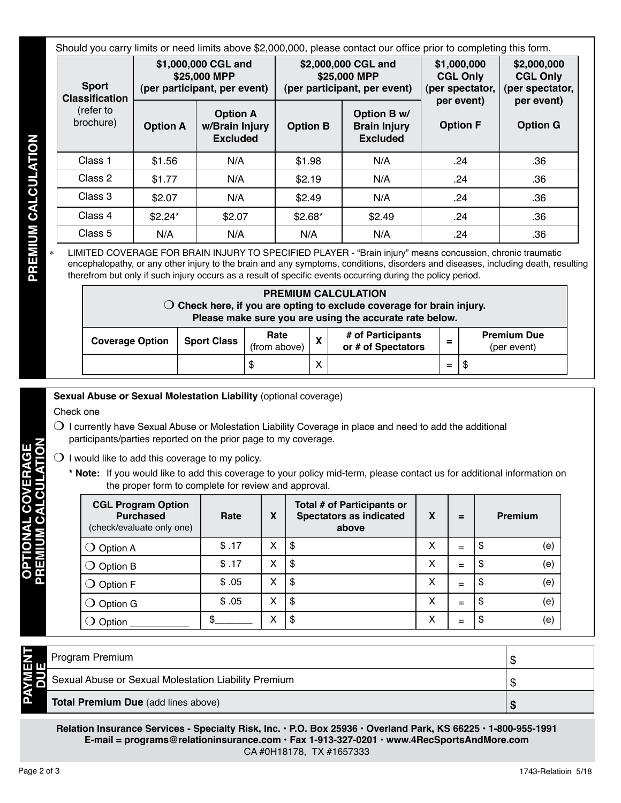| Should you carry limits or need limits above \$2,000,000, please contact our office prior to completing this form. |                 |                                                                     |                 |                                                                     |                                                   |                                                                                    |  |  |
|--------------------------------------------------------------------------------------------------------------------|-----------------|---------------------------------------------------------------------|-----------------|---------------------------------------------------------------------|---------------------------------------------------|------------------------------------------------------------------------------------|--|--|
| <b>Sport</b><br><b>Classification</b>                                                                              |                 | \$1,000,000 CGL and<br>\$25,000 MPP<br>(per participant, per event) |                 | \$2,000,000 CGL and<br>\$25,000 MPP<br>(per participant, per event) | \$1,000,000<br><b>CGL Only</b><br>(per spectator, | \$2,000,000<br><b>CGL Only</b><br>(per spectator,<br>per event)<br><b>Option G</b> |  |  |
| (refer to<br>brochure)                                                                                             | <b>Option A</b> | <b>Option A</b><br>w/Brain Injury<br><b>Excluded</b>                | <b>Option B</b> | Option B w/<br><b>Brain Injury</b><br><b>Excluded</b>               | per event)<br><b>Option F</b>                     |                                                                                    |  |  |
| Class 1                                                                                                            | \$1.56          | N/A                                                                 | \$1.98          | N/A                                                                 | .24                                               | .36                                                                                |  |  |
| Class 2                                                                                                            | \$1.77          | N/A                                                                 | \$2.19          | N/A                                                                 | .24                                               | .36                                                                                |  |  |
| Class 3                                                                                                            | \$2.07          | N/A                                                                 | \$2.49          | N/A                                                                 | .24                                               | .36                                                                                |  |  |
| Class 4                                                                                                            | $$2.24*$        | \$2.07                                                              | $$2.68*$        | \$2.49                                                              | .24                                               | .36                                                                                |  |  |
| Class 5                                                                                                            | N/A             | N/A                                                                 | N/A             | N/A                                                                 | .24                                               | .36                                                                                |  |  |

| <b>PREMIUM CALCULATION</b>                                                                                                                |                    |              |   |                    |   |             |  |
|-------------------------------------------------------------------------------------------------------------------------------------------|--------------------|--------------|---|--------------------|---|-------------|--|
| $\bigcirc$ Check here, if you are opting to exclude coverage for brain injury.<br>Please make sure you are using the accurate rate below. |                    |              |   |                    |   |             |  |
| Rate<br># of Participants<br><b>Premium Due</b>                                                                                           |                    |              |   |                    |   |             |  |
| <b>Coverage Option</b>                                                                                                                    | <b>Sport Class</b> | (from above) | X | or # of Spectators | ≕ | (per event) |  |
|                                                                                                                                           |                    |              | X |                    |   |             |  |

- $\bigcirc$  I currently have Sexual Abuse or Molestation Liability Coverage in place and need to add the additional participants/parties reported on the prior page to my coverage.
- $\bigcirc$  I would like to add this coverage to my policy.
	- **\* Note:** If you would like to add this coverage to your policy mid-term, please contact us for additional information on the proper form to complete for review and approval.

|                            |  |                                     |                                               | <b>Excluded</b>                                              |                          |                      |                           | <b>Excluded</b>                                                                                                                                                                                                                                                                                                                                                |        |          |     |          |                                   |
|----------------------------|--|-------------------------------------|-----------------------------------------------|--------------------------------------------------------------|--------------------------|----------------------|---------------------------|----------------------------------------------------------------------------------------------------------------------------------------------------------------------------------------------------------------------------------------------------------------------------------------------------------------------------------------------------------------|--------|----------|-----|----------|-----------------------------------|
|                            |  | Class 1                             | \$1.56                                        | N/A                                                          |                          | \$1.98               |                           | N/A                                                                                                                                                                                                                                                                                                                                                            |        |          | .24 |          | .36                               |
|                            |  | Class 2                             | \$1.77                                        | N/A                                                          |                          | \$2.19               |                           | N/A                                                                                                                                                                                                                                                                                                                                                            |        |          | .24 |          | .36                               |
|                            |  | Class 3                             | \$2.07                                        | N/A                                                          |                          | \$2.49               |                           | N/A                                                                                                                                                                                                                                                                                                                                                            |        |          | .24 |          | .36                               |
|                            |  | Class 4                             | \$2.24*                                       | \$2.07                                                       |                          | $$2.68*$             |                           | \$2.49                                                                                                                                                                                                                                                                                                                                                         |        |          | .24 |          | .36                               |
|                            |  | Class 5                             | N/A                                           | N/A                                                          |                          |                      | N/A                       | N/A                                                                                                                                                                                                                                                                                                                                                            |        |          | .24 |          | .36                               |
| <b>PREMIUM CALCULATION</b> |  |                                     |                                               |                                                              |                          |                      |                           | LIMITED COVERAGE FOR BRAIN INJURY TO SPECIFIED PLAYER - "Brain injury" means concussion, chronic traumatic<br>encephalopathy, or any other injury to the brain and any symptoms, conditions, disorders and diseases, including death, resulting<br>therefrom but only if such injury occurs as a result of specific events occurring during the policy period. |        |          |     |          |                                   |
|                            |  |                                     |                                               |                                                              |                          |                      |                           | <b>PREMIUM CALCULATION</b><br>$\bigcirc$ Check here, if you are opting to exclude coverage for brain injury.<br>Please make sure you are using the accurate rate below.                                                                                                                                                                                        |        |          |     |          |                                   |
|                            |  | <b>Coverage Option</b>              |                                               | <b>Sport Class</b>                                           |                          | Rate<br>(from above) | $\boldsymbol{\mathsf{X}}$ | # of Participants<br>or # of Spectators                                                                                                                                                                                                                                                                                                                        |        | $\equiv$ |     |          | <b>Premium Due</b><br>(per event) |
|                            |  |                                     |                                               |                                                              | \$                       |                      | X                         |                                                                                                                                                                                                                                                                                                                                                                |        | $=$      | \$  |          |                                   |
| COVERAGE                   |  |                                     | <b>CGL Program Option</b><br><b>Purchased</b> | the proper form to complete for review and approval.<br>Rate | X                        |                      |                           | * Note: If you would like to add this coverage to your policy mid-term, please contact us for additional information on<br>Total # of Participants or<br><b>Spectators as indicated</b>                                                                                                                                                                        | X      |          | $=$ |          | Premium                           |
|                            |  |                                     | (check/evaluate only one)                     |                                                              |                          |                      |                           | above                                                                                                                                                                                                                                                                                                                                                          |        |          |     |          |                                   |
|                            |  | $\bigcirc$ Option A                 |                                               | \$.17                                                        | X                        | \$                   |                           |                                                                                                                                                                                                                                                                                                                                                                | X      |          | $=$ | \$       | (e)                               |
|                            |  | $\bigcirc$ Option B                 |                                               | \$.17                                                        | X<br>X                   | \$                   |                           |                                                                                                                                                                                                                                                                                                                                                                | X      |          | $=$ | \$       | (e)                               |
|                            |  | $\bigcirc$ Option F                 |                                               | \$.05                                                        | X                        | \$                   |                           |                                                                                                                                                                                                                                                                                                                                                                | X      |          | $=$ | \$       | (e)                               |
|                            |  | $\bigcirc$ Option G                 |                                               | \$.05<br>\$                                                  | X                        | \$<br>\$             |                           |                                                                                                                                                                                                                                                                                                                                                                | X<br>X |          | $=$ | \$<br>\$ | (e)                               |
|                            |  | $\bigcirc$ Option                   |                                               |                                                              |                          |                      |                           |                                                                                                                                                                                                                                                                                                                                                                |        |          | $=$ |          | (e)                               |
|                            |  |                                     |                                               |                                                              |                          |                      |                           |                                                                                                                                                                                                                                                                                                                                                                |        |          |     |          |                                   |
|                            |  | Program Premium                     |                                               |                                                              |                          |                      |                           |                                                                                                                                                                                                                                                                                                                                                                |        |          |     |          | \$                                |
|                            |  |                                     |                                               | Sexual Abuse or Sexual Molestation Liability Premium         |                          |                      |                           |                                                                                                                                                                                                                                                                                                                                                                |        |          |     |          |                                   |
| <b>PAYMEN</b>              |  | Total Premium Due (add lines above) |                                               |                                                              |                          |                      |                           |                                                                                                                                                                                                                                                                                                                                                                |        |          |     |          | \$<br>\$                          |
|                            |  |                                     |                                               |                                                              | CA #0H18178, TX #1657333 |                      |                           | Relation Insurance Services - Specialty Risk, Inc. · P.O. Box 25936 · Overland Park, KS 66225 · 1-800-955-1991<br>E-mail = programs@relationinsurance.com · Fax 1-913-327-0201 · www.4RecSportsAndMore.com                                                                                                                                                     |        |          |     |          |                                   |

| m n | Program Premium                                      |  |
|-----|------------------------------------------------------|--|
|     | Sexual Abuse or Sexual Molestation Liability Premium |  |
| ב   | <b>Total Premium Due (add lines above)</b>           |  |